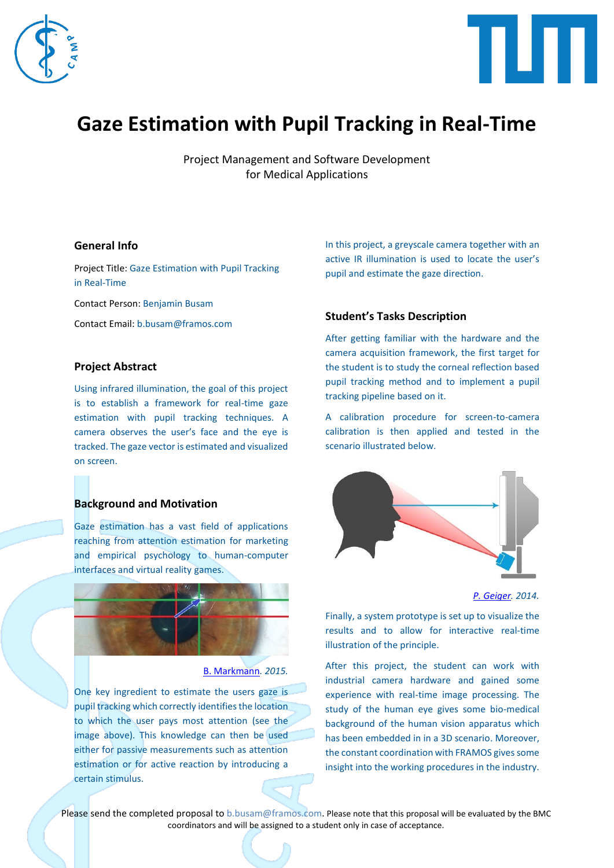



# **Gaze Estimation with Pupil Tracking in Real-Time**

Project Management and Software Development for Medical Applications

# **General Info**

Project Title: Gaze Estimation with Pupil Tracking in Real-Time

Contact Person: Benjamin Busam

Contact Email: b.busam@framos.com

# **Project Abstract**

Using infrared illumination, the goal of this project is to establish a framework for real-time gaze estimation with pupil tracking techniques. A camera observes the user's face and the eye is tracked. The gaze vector is estimated and visualized on screen.

# **Background and Motivation**

Gaze estimation has a vast field of applications reaching from attention estimation for marketing and empirical psychology to human-computer interfaces and virtual reality games.



#### [B. Markmann](https://en.wikipedia.org/wiki/File:Visible_light_eye-tracking_algorithm.jpg)*. 2015.*

One key ingredient to estimate the users gaze is pupil tracking which correctly identifies the location to which the user pays most attention (see the image above). This knowledge can then be used either for passive measurements such as attention estimation or for active reaction by introducing a certain stimulus.

In this project, a greyscale camera together with an active IR illumination is used to locate the user's pupil and estimate the gaze direction.

# **Student's Tasks Description**

After getting familiar with the hardware and the camera acquisition framework, the first target for the student is to study the corneal reflection based pupil tracking method and to implement a pupil tracking pipeline based on it.

A calibration procedure for screen-to-camera calibration is then applied and tested in the scenario illustrated below.



*[P. Geiger.](http://www.makinggames.biz/feature/use-your-eyes-interaction-through-eye-tracking,7117.html) 2014.*

Finally, a system prototype is set up to visualize the results and to allow for interactive real-time illustration of the principle.

After this project, the student can work with industrial camera hardware and gained some experience with real-time image processing. The study of the human eye gives some bio-medical background of the human vision apparatus which has been embedded in in a 3D scenario. Moreover, the constant coordination with FRAMOS gives some insight into the working procedures in the industry.

Please send the completed proposal to [b.busam@framos.com.](mailto:b.busam@framos.com) Please note that this proposal will be evaluated by the BMC coordinators and will be assigned to a student only in case of acceptance.